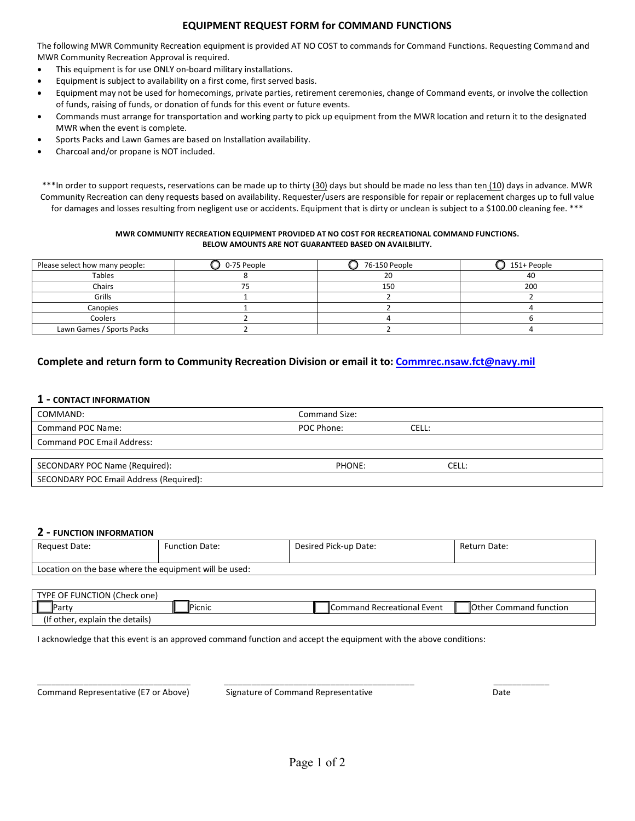## **EQUIPMENT REQUEST FORM for COMMAND FUNCTIONS**

The following MWR Community Recreation equipment is provided AT NO COST to commands for Command Functions. Requesting Command and MWR Community Recreation Approval is required.

- This equipment is for use ONLY on-board military installations.
- Equipment is subject to availability on a first come, first served basis.
- Equipment may not be used for homecomings, private parties, retirement ceremonies, change of Command events, or involve the collection of funds, raising of funds, or donation of funds for this event or future events.
- Commands must arrange for transportation and working party to pick up equipment from the MWR location and return it to the designated MWR when the event is complete.
- Sports Packs and Lawn Games are based on Installation availability.
- Charcoal and/or propane is NOT included.

\*\*\*In order to support requests, reservations can be made up to thirty (30) days but should be made no less than ten (10) days in advance. MWR Community Recreation can deny requests based on availability. Requester/users are responsible for repair or replacement charges up to full value for damages and losses resulting from negligent use or accidents. Equipment that is dirty or unclean is subject to a \$100.00 cleaning fee. \*\*\*

#### **MWR COMMUNITY RECREATION EQUIPMENT PROVIDED AT NO COST FOR RECREATIONAL COMMAND FUNCTIONS. BELOW AMOUNTS ARE NOT GUARANTEED BASED ON AVAILBILITY.**

| Please select how many people: | 0-75 People | 76-150 People | 151+ People |
|--------------------------------|-------------|---------------|-------------|
| Tables                         |             | 20            | 40          |
| Chairs                         |             | 150           | 200         |
| Grills                         |             |               |             |
| Canopies                       |             |               |             |
| Coolers                        |             |               |             |
| Lawn Games / Sports Packs      |             |               |             |

# **Complete and return form to Community Recreation Division or email it to: [Commrec.nsaw.fct@navy.mil](mailto:Commrec.nsaw.fct@navy.mil)**

### **1 - CONTACT INFORMATION**

| COMMAND:                                | Command Size: |       |
|-----------------------------------------|---------------|-------|
| Command POC Name:                       | POC Phone:    | Cell: |
| <b>Command POC Email Address:</b>       |               |       |
|                                         |               |       |
| SECONDARY POC Name (Required):          | PHONE:        | CELL: |
| SECONDARY POC Email Address (Required): |               |       |

### **2 - FUNCTION INFORMATION**

| Request Date:                                          | <b>Function Date:</b> | Desired Pick-up Date: | Return Date: |  |  |
|--------------------------------------------------------|-----------------------|-----------------------|--------------|--|--|
| Location on the base where the equipment will be used: |                       |                       |              |  |  |

| E OF FUNCTION (Check one)<br><b>TVDF</b> |                                 |  |                |  |                                 |  |                                         |
|------------------------------------------|---------------------------------|--|----------------|--|---------------------------------|--|-----------------------------------------|
|                                          | Partv                           |  | <b>IPicnic</b> |  | l Recreational Event<br>Command |  | <b>I</b> Other<br>∣ tunction<br>Command |
|                                          | (If other, explain the details) |  |                |  |                                 |  |                                         |

I acknowledge that this event is an approved command function and accept the equipment with the above conditions:

Command Representative (E7 or Above) Signature of Command Representative Date

\_\_\_\_\_\_\_\_\_\_\_\_\_\_\_\_\_\_\_\_\_\_\_\_\_\_\_\_\_\_\_\_\_ \_\_\_\_\_\_\_\_\_\_\_\_\_\_\_\_\_\_\_\_\_\_\_\_\_\_\_\_\_\_\_\_\_\_\_\_\_\_\_\_\_ \_\_\_\_\_\_\_\_\_\_\_\_